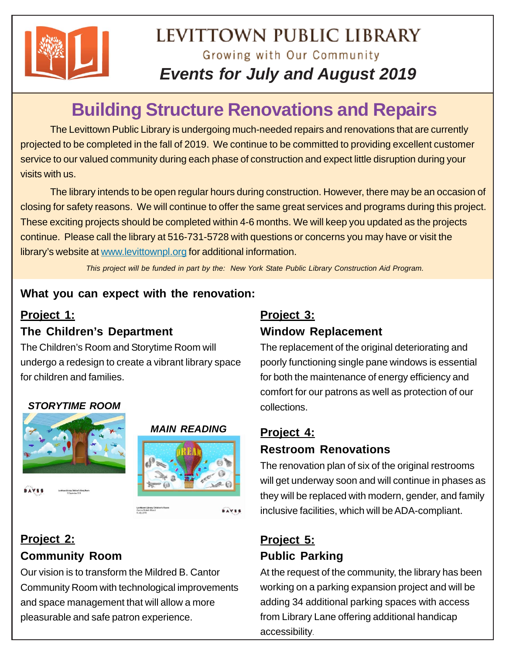

# LEVITTOWN PUBLIC LIBRARY Growing with Our Community *Events for July and August 2019*

# **Building Structure Renovations and Repairs**

The Levittown Public Library is undergoing much-needed repairs and renovations that are currently projected to be completed in the fall of 2019. We continue to be committed to providing excellent customer service to our valued community during each phase of construction and expect little disruption during your visits with us.

The library intends to be open regular hours during construction. However, there may be an occasion of closing for safety reasons. We will continue to offer the same great services and programs during this project. These exciting projects should be completed within 4-6 months. We will keep you updated as the projects continue. Please call the library at 516-731-5728 with questions or concerns you may have or visit the library's website at www.levittownpl.org for additional information.

*This project will be funded in part by the: New York State Public Library Construction Aid Program.*

# **What you can expect with the renovation:**

# **Project 1: The Children's Department**

The Children's Room and Storytime Room will undergo a redesign to create a vibrant library space for children and families.

# *STORYTIME ROOM*





**BAVES** 

# **Project 2: Community Room**

Our vision is to transform the Mildred B. Cantor Community Room with technological improvements and space management that will allow a more pleasurable and safe patron experience.

Levittown Library Chil<br>Carris Buladi (Road<br>8.July 2018

# **Project 3: Window Replacement**

The replacement of the original deteriorating and poorly functioning single pane windows is essential for both the maintenance of energy efficiency and comfort for our patrons as well as protection of our collections.

# **Project 4: Restroom Renovations**

The renovation plan of six of the original restrooms will get underway soon and will continue in phases as they will be replaced with modern, gender, and family inclusive facilities, which will be ADA-compliant.

# **Project 5: Public Parking**

At the request of the community, the library has been working on a parking expansion project and will be adding 34 additional parking spaces with access from Library Lane offering additional handicap accessibility.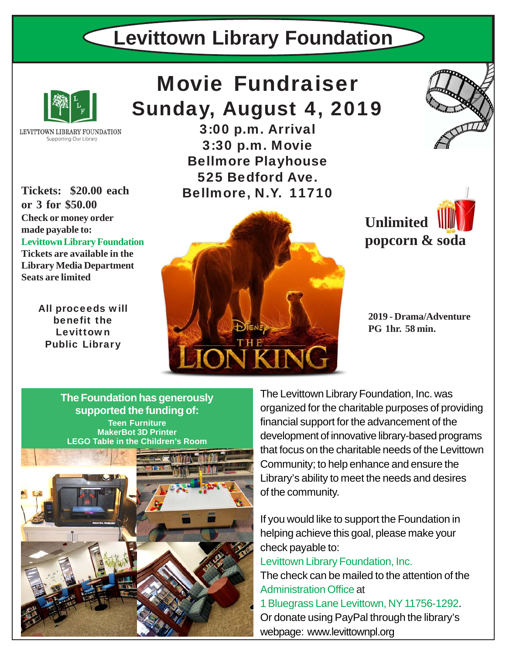# **Levittown Library Foundation**



LEVITTOWN LIBRARY FOUNDATION Supporting Our Library

**or 3 for \$50.00 Check or money order made payable to: Levittown Library Foundation Tickets are available in the Library Media Department Seats are limited**

> All proceeds will benefit the Levittown Public Library

# Movie Fundraiser Sunday, August 4, 2019

3:00 p.m. Arrival 3:30 p.m. Movie Bellmore Playhouse 525 Bedford Ave. Tickets: \$20.00 each **Bellmore, N.Y. 11710** 



**Unlimited popcorn & soda**

**2019 - Drama/Adventure PG 1hr. 58 min.**

**Teen Furniture MakerBot 3D Printer LEGO Table in the Children's Room The Foundation has generously supported the funding of:**



The Levittown Library Foundation, Inc. was organized for the charitable purposes of providing financial support for the advancement of the development of innovative library-based programs that focus on the charitable needs of the Levittown Community; to help enhance and ensure the Library's ability to meet the needs and desires of the community.

If you would like to support the Foundation in helping achieve this goal, please make your check payable to:

Levittown Library Foundation, Inc.

The check can be mailed to the attention of the Administration Office at

1 Bluegrass Lane Levittown, NY 11756-1292. Or donate using PayPal through the library's webpage: www.levittownpl.org

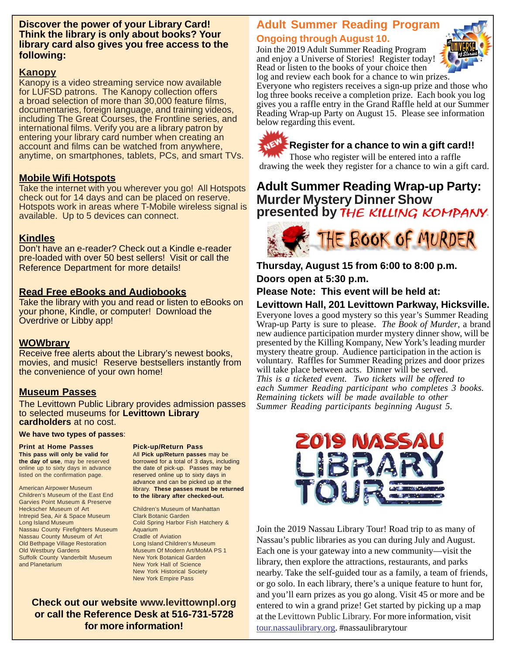#### **Discover the power of your Library Card! Think the library is only about books? Your library card also gives you free access to the following:**

#### **Kanopy**

Kanopy is a video streaming service now available for LUFSD patrons. The Kanopy collection offers a broad selection of more than 30,000 feature films, documentaries, foreign language, and training videos, including The Great Courses, the Frontline series, and international films. Verify you are a library patron by entering your library card number when creating an account and films can be watched from anywhere, anytime, on smartphones, tablets, PCs, and smart TVs.

#### **Mobile Wifi Hotspots**

Take the internet with you wherever you go! All Hotspots check out for 14 days and can be placed on reserve. Hotspots work in areas where T-Mobile wireless signal is available. Up to 5 devices can connect.

#### **Kindles**

Don't have an e-reader? Check out a Kindle e-reader pre-loaded with over 50 best sellers! Visit or call the Reference Department for more details!

#### **Read Free eBooks and Audiobooks**

Take the library with you and read or listen to eBooks on your phone, Kindle, or computer! Download the Overdrive or Libby app!

#### **WOWbrary**

Receive free alerts about the Library's newest books, movies, and music! Reserve bestsellers instantly from the convenience of your own home!

#### **Museum Passes**

The Levittown Public Library provides admission passes to selected museums for **Levittown Library cardholders** at no cost.

#### **We have two types of passes**:

**Print at Home Passes This pass will only be valid for the day of use**, may be reserved online up to sixty days in advance listed on the confirmation page.

American Airpower Museum

**Pick-up/Return Pass**

All **Pick up/Return passes** may be borrowed for a total of 3 days, including the date of pick-up. Passes may be reserved online up to sixty days in advance and can be picked up at the library. **These passes must be returned to the library after checked-out.**

Children's Museum of the East End Garvies Point Museum & Preserve Heckscher Museum of Art Intrepid Sea, Air & Space Museum Long Island Museum Nassau County Firefighters Museum Nassau County Museum of Art Old Bethpage Village Restoration Old Westbury Gardens Suffolk County Vanderbilt Museum and Planetarium

Clark Botanic Garden Cold Spring Harbor Fish Hatchery & Aquarium Cradle of Aviation Long Island Children's Museum Museum Of Modern Art/MoMA PS 1 New York Botanical Garden New York Hall of Science New York Historical Society New York Empire Pass

Children's Museum of Manhattan

**Check out our website www.levittownpl.org or call the Reference Desk at 516-731-5728 for more information!**

### **Adult Summer Reading Program Ongoing through August 10.**

Join the 2019 Adult Summer Reading Program and enjoy a Universe of Stories! Register today! Read or listen to the books of your choice then log and review each book for a chance to win prizes.



Everyone who registers receives a sign-up prize and those who log three books receive a completion prize. Each book you log gives you a raffle entry in the Grand Raffle held at our Summer Reading Wrap-up Party on August 15. Please see information below regarding this event.



#### **Register for a chance to win a gift card!!**

Those who register will be entered into a raffle drawing the week they register for a chance to win a gift card.

# **Murder Mystery Dinner Show** presented by THE KILLING KOMPANY **Adult Summer Reading Wrap-up Party:**



**Thursday, August 15 from 6:00 to 8:00 p.m. Doors open at 5:30 p.m.**

**Please Note: This event will be held at:**

#### **Levittown Hall, 201 Levittown Parkway, Hicksville.**

Everyone loves a good mystery so this year's Summer Reading Wrap-up Party is sure to please. *The Book of Murder*, a brand new audience participation murder mystery dinner show, will be presented by the Killing Kompany, New York's leading murder mystery theatre group. Audience participation in the action is voluntary. Raffles for Summer Reading prizes and door prizes will take place between acts. Dinner will be served. *This is a ticketed event. Two tickets will be offered to each Summer Reading participant who completes 3 books. Remaining tickets will be made available to other Summer Reading participants beginning August 5.*



Join the 2019 Nassau Library Tour! Road trip to as many of Nassau's public libraries as you can during July and August. Each one is your gateway into a new community—visit the library, then explore the attractions, restaurants, and parks nearby. Take the self-guided tour as a family, a team of friends, or go solo. In each library, there's a unique feature to hunt for, and you'll earn prizes as you go along. Visit 45 or more and be entered to win a grand prize! Get started by picking up a map at the Levittown Public Library. For more information, visit tour.nassaulibrary.org. #nassaulibrarytour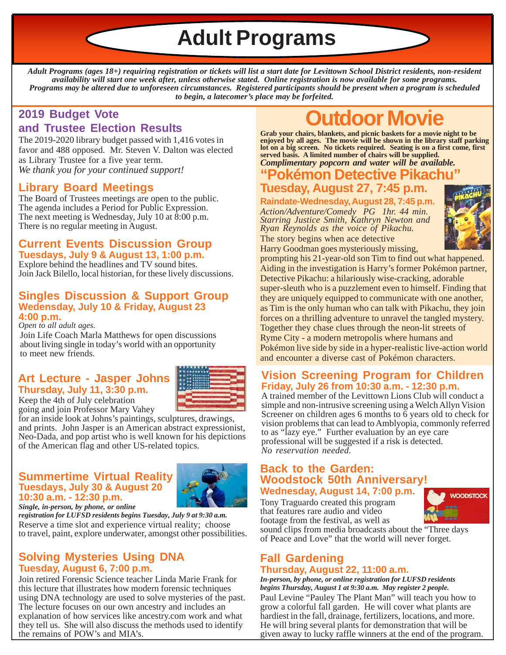**Adult Programs**

*Adult Programs (ages 18+) requiring registration or tickets will list a start date for Levittown School District residents, non-resident availability will start one week after, unless otherwise stated. Online registration is now available for some programs. Programs may be altered due to unforeseen circumstances. Registered participants should be present when a program is scheduled to begin, a latecomer's place may be forfeited.*

### **2019 Budget Vote and Trustee Election Results**

The 2019-2020 library budget passed with 1,416 votes in favor and 488 opposed. Mr. Steven V. Dalton was elected as Library Trustee for a five year term. *We thank you for your continued support!*

### **Library Board Meetings**

The Board of Trustees meetings are open to the public. The agenda includes a Period for Public Expression. The next meeting is Wednesday, July 10 at  $\overline{8:00}$  p.m. There is no regular meeting in August.

#### **Current Events Discussion Group Tuesdays, July 9 & August 13, 1:00 p.m.**

Explore behind the headlines and TV sound bites. Join Jack Bilello, local historian, for these lively discussions.

#### **Singles Discussion & Support Group Wedensday, July 10 & Friday, August 23 4:00 p.m.**

*Open to all adult ages.*

Join Life Coach Marla Matthews for open discussions about living single in today's world with an opportunity to meet new friends.

# **Art Lecture - Jasper Johns Thursday, July 11, 3:30 p.m.**



Keep the 4th of July celebration going and join Professor Mary Vahey for an inside look at Johns's paintings, sculptures, drawings, and prints. John Jasper is an American abstract expressionist,

Neo-Dada, and pop artist who is well known for his depictions of the American flag and other US-related topics.

#### **Summertime Virtual Reality Tuesdays, July 30 & August 20 10:30 a.m. - 12:30 p.m.**



*Single, in-person, by phone, or online*

*registration for LUFSD residents begins Tuesday, July 9 at 9:30 a.m.* Reserve a time slot and experience virtual reality; choose to travel, paint, explore underwater, amongst other possibilities.

#### **Solving Mysteries Using DNA Tuesday, August 6, 7:00 p.m.**

Join retired Forensic Science teacher Linda Marie Frank for this lecture that illustrates how modern forensic techniques using DNA technology are used to solve mysteries of the past. The lecture focuses on our own ancestry and includes an explanation of how services like ancestry.com work and what they tell us. She will also discuss the methods used to identify the remains of POW's and MIA's.

# **Outdoor Movie**

**Grab your chairs, blankets, and picnic baskets for a movie night to be enjoyed by all ages. The movie will be shown in the library staff parking lot on a big screen. No tickets required. Seating is on a first come, first served basis. A limited number of chairs will be supplied.**

#### **"Pokémon Detective Pikacl** *Complimentary popcorn and water will be available.*

# **Tuesday, August 27, 7:45 p.m.**

**Raindate-Wednesday, August 28, 7:45 p.m.** *Action/Adventure/Comedy PG 1hr. 44 min. Starring Justice Smith, Kathryn Newton and Ryan Reynolds as the voice of Pikachu.* The story begins when ace detective

Harry Goodman goes mysteriously missing,



prompting his 21-year-old son Tim to find out what happened. Aiding in the investigation is Harry's former Pokémon partner, Detective Pikachu: a hilariously wise-cracking, adorable super-sleuth who is a puzzlement even to himself. Finding that they are uniquely equipped to communicate with one another, as Tim is the only human who can talk with Pikachu, they join forces on a thrilling adventure to unravel the tangled mystery. Together they chase clues through the neon-lit streets of Ryme City - a modern metropolis where humans and Pokémon live side by side in a hyper-realistic live-action world and encounter a diverse cast of Pokémon characters.

#### **Vision Screening Program for Children Friday, July 26 from 10:30 a.m. - 12:30 p.m.**

A trained member of the Levittown Lions Club will conduct a simple and non-intrusive screening using a Welch Allyn Vision Screener on children ages 6 months to 6 years old to check for vision problems that can lead to Amblyopia, commonly referred to as "lazy eye." Further evaluation by an eye care professional will be suggested if a risk is detected. *No reservation needed.*

#### **Back to the Garden: Woodstock 50th Anniversary! Wednesday, August 14, 7:00 p.m.**

Tony Traguardo created this program that features rare audio and video footage from the festival, as well as



sound clips from media broadcasts about the "Three days of Peace and Love" that the world will never forget.

#### **Fall Gardening Thursday, August 22, 11:00 a.m.**

Paul Levine "Pauley The Plant Man" will teach you how to grow a colorful fall garden. He will cover what plants are hardiest in the fall, drainage, fertilizers, locations, and more. He will bring several plants for demonstration that will be given away to lucky raffle winners at the end of the program. *In-person, by phone, or online registration for LUFSD residents begins Thursday, August 1 at 9:30 a.m. May register 2 people.*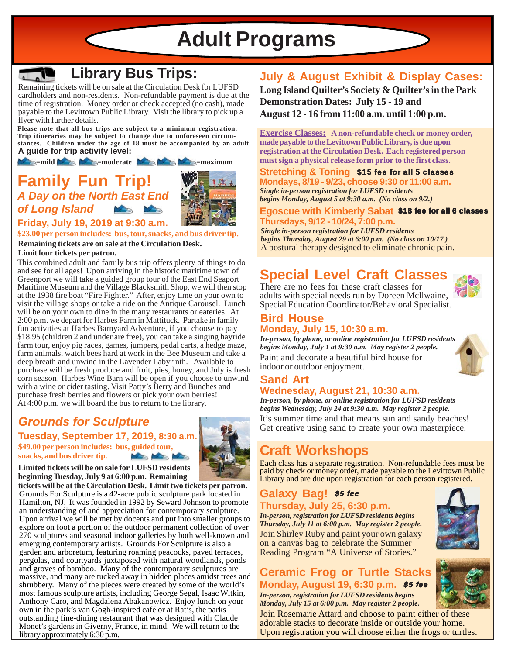**Adult Programs**



# **Library Bus Trips:**

Remaining tickets will be on sale at the Circulation Desk for LUFSD cardholders and non-residents. Non-refundable payment is due at the time of registration. Money order or check accepted (no cash), made payable to the Levittown Public Library. Visit the library to pick up a flyer with further details.

**Please note that all bus trips are subject to a minimum registration. Trip itineraries may be subject to change due to unforeseen circumstances. Children under the age of 18 must be accompanied by an adult. A guide for trip activity level:**

**Example 2008** = moderate **Alternative Example 2009** = maximum

# **Family Fun** *A Day on the North East End of Long Island*



**Friday, July 19, 2019 at 9:30 a.m.**

**\$23.00 per person includes: bus, tour, snacks, and bus driver tip. Remaining tickets are on sale at the Circulation Desk.**

#### **Limit four tickets per patron.**

This combined adult and family bus trip offers plenty of things to do and see for all ages! Upon arriving in the historic maritime town of Greenport we will take a guided group tour of the East End Seaport Maritime Museum and the Village Blacksmith Shop, we will then stop at the 1938 fire boat "Fire Fighter." After, enjoy time on your own to visit the village shops or take a ride on the Antique Carousel. Lunch will be on your own to dine in the many restaurants or eateries. At 2:00 p.m. we depart for Harbes Farm in Mattituck. Partake in family fun activities at Harbes Barnyard Adventure, if you choose to pay \$18.95 (children 2 and under are free), you can take a singing hayride farm tour, enjoy pig races, games, jumpers, pedal carts, a hedge maze, farm animals, watch bees hard at work in the Bee Museum and take a deep breath and unwind in the Lavender Labyrinth. Available to purchase will be fresh produce and fruit, pies, honey, and July is fresh corn season! Harbes Wine Barn will be open if you choose to unwind with a wine or cider tasting. Visit Patty's Berry and Bunches and purchase fresh berries and flowers or pick your own berries! At 4:00 p.m. we will board the bus to return to the library.

# *Grounds for Sculpture*

**\$49.00 per person includes: bus, guided tour, snacks, and bus driver tip. Tuesday, September 17, 2019, 8:30 a.m.**



**Limited tickets will be on sale for LUFSD residents beginning Tuesday, July 9 at 6:00 p.m. Remaining**

**tickets will be at the Circulation Desk. Limit two tickets per patron.** Grounds For Sculpture is a 42-acre public sculpture park located in Hamilton, NJ. It was founded in 1992 by Seward Johnson to promote an understanding of and appreciation for contemporary sculpture. Upon arrival we will be met by docents and put into smaller groups to explore on foot a portion of the outdoor permanent collection of over 270 sculptures and seasonal indoor galleries by both well-known and emerging contemporary artists. Grounds For Sculpture is also a garden and arboretum, featuring roaming peacocks, paved terraces, pergolas, and courtyards juxtaposed with natural woodlands, ponds and groves of bamboo. Many of the contemporary sculptures are massive, and many are tucked away in hidden places amidst trees and shrubbery. Many of the pieces were created by some of the world's most famous sculpture artists, including George Segal, Isaac Witkin, Anthony Caro, and Magdalena Abakanowicz. Enjoy lunch on your own in the park's van Gogh-inspired café or at Rat's, the parks outstanding fine-dining restaurant that was designed with Claude Monet's gardens in Giverny, France, in mind. We will return to the library approximately 6:30 p.m.

# **July & August Exhibit & Display Cases:**

**Long Island Quilter's Society & Quilter's in the Park Demonstration Dates: July 15 - 19 and August 12 - 16 from 11:00 a.m. until 1:00 p.m.**

**Exercise Classes: A non-refundable check or money order, made payable to the Levittown Public Library, is due upon registration at the Circulation Desk. Each registered person must sign a physical release form prior to the first class.**

**Stretching & Toning** \$15 fee for all 5 classes **Mondays, 8/19 - 9/23, choose 9:30 or 11:00 a.m.** *Single in-person registration for LUFSD residents begins Monday, August 5 at 9:30 a.m. (No class on 9/2.)*

Egoscue with Kimberly Sabat \$18 fee for all 6 classes **Thursdays, 9/12 - 10/24, 7:00 p.m.**

*Single in-person registration for LUFSD residents begins Thursday, August 29 at 6:00 p.m. (No class on 10/17.)* A postural therapy designed to eliminate chronic pain.

# **Special Level Craft Classes**

There are no fees for these craft classes for adults with special needs run by Doreen Mcllwaine, Special Education Coordinator/Behavioral Specialist.

#### **Bird House Monday, July 15, 10:30 a.m.**

Paint and decorate a beautiful bird house for indoor or outdoor enjoyment. *In-person, by phone, or online registration for LUFSD residents begins Monday, July 1 at 9:30 a.m. May register 2 people.*

#### **Sand Art Wednesday, August 21, 10:30 a.m.**

It's summer time and that means sun and sandy beaches! Get creative using sand to create your own masterpiece. *In-person, by phone, or online registration for LUFSD residents begins Wednesday, July 24 at 9:30 a.m. May register 2 people.*

# **Craft Workshops**

Each class has a separate registration. Non-refundable fees must be paid by check or money order, made payable to the Levittown Public Library and are due upon registration for each person registered.

## Galaxy Bag! \$5 fee

**Thursday, July 25, 6:30 p.m.**

Join Shirley Ruby and paint your own galaxy on a canvas bag to celebrate the Summer Reading Program "A Universe of Stories." *In-person, registration for LUFSD residents begins Thursday, July 11 at 6:00 p.m. May register 2 people.*

## **Ceramic Frog or Turtle Stacks Monday, August 19, 6:30 p.m.** \$5 fee

*In-person, registration for LUFSD residents begins Monday, July 15 at 6:00 p.m. May register 2 people.*

Join Rosemarie Attard and choose to paint either of these adorable stacks to decorate inside or outside your home. Upon registration you will choose either the frogs or turtles.





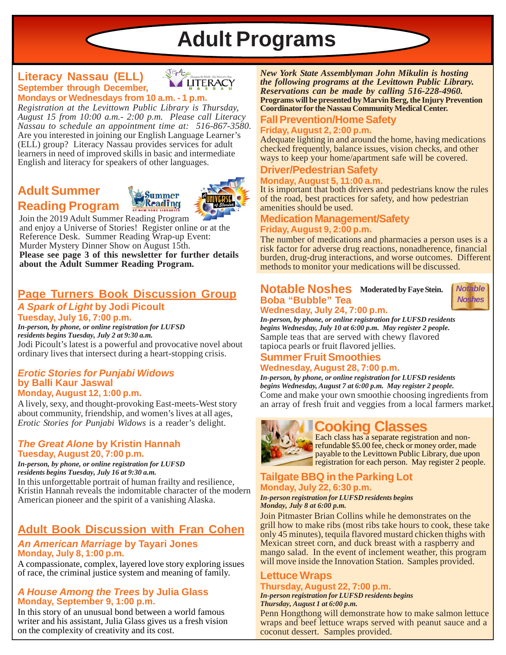# **Adult Programs**

#### **September through December, Mondays or Wednesdays from 10 a.m. - 1 p.m. Literacy Nassau (ELL)**



*Registration at the Levittown Public Library is Thursday, August 15 from 10:00 a.m.- 2:00 p.m. Please call Literacy Nassau to schedule an appointment time at: 516-867-3580.* Are you interested in joining our English Language Learner's (ELL) group? Literacy Nassau provides services for adult learners in need of improved skills in basic and intermediate English and literacy for speakers of other languages.

# **Adult Summer Reading Program**





Join the 2019 Adult Summer Reading Program and enjoy a Universe of Stories! Register online or at the Reference Desk. Summer Reading Wrap-up Event: Murder Mystery Dinner Show on August 15th. **Please see page 3 of this newsletter for further details about the Adult Summer Reading Program.**

# **Page Turners Book Discussion Group** *A Spark of Light* **by Jodi Picoult**

**Tuesday, July 16, 7:00 p.m.** Jodi Picoult's latest is a powerful and provocative novel about ordinary lives that intersect during a heart-stopping crisis. *In-person, by phone, or online registration for LUFSD residents begins Tuesday, July 2 at 9:30 a.m.*

#### *Erotic Stories for Punjabi Widows* **by Balli Kaur Jaswal Monday, August 12, 1:00 p.m.**

A lively, sexy, and thought-provoking East-meets-West story about community, friendship, and women's lives at all ages, *Erotic Stories for Punjabi Widows* is a reader's delight.

#### *The Great Alone* **by Kristin Hannah Tuesday, August 20, 7:00 p.m.**

*In-person, by phone, or online registration for LUFSD residents begins Tuesday, July 16 at 9:30 a.m.*

In this unforgettable portrait of human frailty and resilience, Kristin Hannah reveals the indomitable character of the modern American pioneer and the spirit of a vanishing Alaska.

# **Adult Book Discussion with Fran Cohen**

#### *An American Marriage* **by Tayari Jones Monday, July 8, 1:00 p.m.**

A compassionate, complex, layered love story exploring issues of race, the criminal justice system and meaning of family.

#### *A House Among the Trees* **by Julia Glass Monday, September 9, 1:00 p.m.**

In this story of an unusual bond between a world famous writer and his assistant, Julia Glass gives us a fresh vision on the complexity of creativity and its cost.

*New York State Assemblyman John Mikulin is hosting the following programs at the Levittown Public Library. Reservations can be made by calling 516-228-4960.* **Programs will be presented by Marvin Berg, the Injury Prevention Coordinator for the Nassau Community Medical Center.**

#### **Fall Prevention/Home Safety Friday, August 2, 2:00 p.m.**

Adequate lighting in and around the home, having medications checked frequently, balance issues, vision checks, and other ways to keep your home/apartment safe will be covered.

#### **Driver/Pedestrian Safety Monday, August 5, 11:00 a.m.**

It is important that both drivers and pedestrians know the rules of the road, best practices for safety, and how pedestrian amenities should be used.

#### **Medication Management/Safety Friday, August 9, 2:00 p.m.**

The number of medications and pharmacies a person uses is a risk factor for adverse drug reactions, nonadherence, financial burden, drug-drug interactions, and worse outcomes. Different methods to monitor your medications will be discussed.

#### **Notable Noshes Moderated by Faye Stein. Boba "Bubble" Tea Wednesday, July 24, 7:00 p.m.**



Sample teas that are served with chewy flavored tapioca pearls or fruit flavored jellies. *In-person, by phone, or online registration for LUFSD residents begins Wednesday, July 10 at 6:00 p.m. May register 2 people.*

#### **Summer Fruit Smoothies Wednesday, August 28, 7:00 p.m.**

*In-person, by phone, or online registration for LUFSD residents begins Wednesday, August 7 at 6:00 p.m. May register 2 people.* Come and make your own smoothie choosing ingredients from an array of fresh fruit and veggies from a local farmers market.



# **Cooking Classes**

Each class has a separate registration and nonrefundable \$5.00 fee, check or money order, made payable to the Levittown Public Library, due upon registration for each person. May register 2 people.

#### **Tailgate BBQ in the Parking Lot Monday, July 22, 6:30 p.m.**

#### *In-person registration for LUFSD residents begins Monday, July 8 at 6:00 p.m.*

Join Pitmaster Brian Collins while he demonstrates on the grill how to make ribs (most ribs take hours to cook, these take only 45 minutes), tequila flavored mustard chicken thighs with Mexican street corn, and duck breast with a raspberry and mango salad. In the event of inclement weather, this program will move inside the Innovation Station. Samples provided.

## **Lettuce Wraps**

#### **Thursday, August 22, 7:00 p.m.** *In-person registration for LUFSD residents begins*

*Thursday, August 1 at 6:00 p.m.*

Penn Hongthong will demonstrate how to make salmon lettuce wraps and beef lettuce wraps served with peanut sauce and a coconut dessert. Samples provided.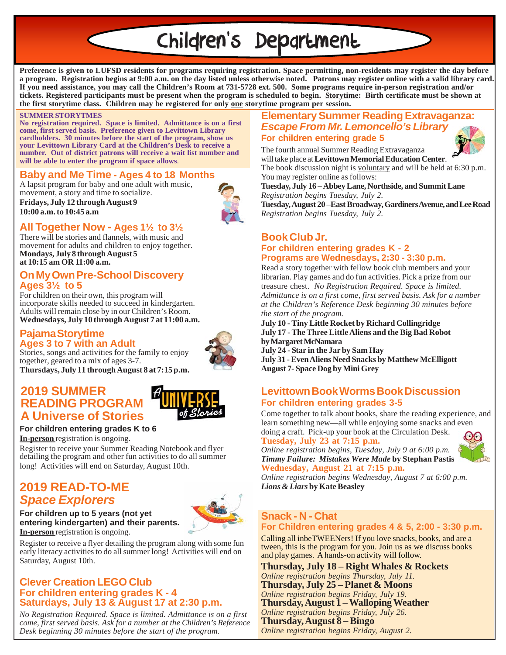# Children's Department

**Preference is given to LUFSD residents for programs requiring registration. Space permitting, non-residents may register the day before a program. Registration begins at 9:00 a.m. on the day listed unless otherwise noted. Patrons may register online with a valid library card. If you need assistance, you may call the Children's Room at 731-5728 ext. 500. Some programs require in-person registration and/or tickets. Registered participants must be present when the program is scheduled to begin. Storytime: Birth certificate must be shown at the first storytime class. Children may be registered for only one storytime program per session.**

#### **SUMMER STORYTMES**

**No registration required. Space is limited. Admittance is on a first come, first served basis. Preference given to Levittown Library cardholders. 30 minutes before the start of the program, show us your Levittown Library Card at the Children's Desk to receive a number. Out of district patrons will receive a wait list number and will be able to enter the program if space allows**.

#### **Baby and Me Time - Ages 4 to 18 Months**

A lapsit program for baby and one adult with music, movement, a story and time to socialize.

**Fridays, July 12 through August 9 10:00 a.m. to 10:45 a.m**

### **All Together Now - Ages 1½ to 3½**

There will be stories and flannels, with music and movement for adults and children to enjoy together. **Mondays, July 8 through August 5 at 10:15 am OR 11:00 a.m.**

#### **On My Own Pre-School Discovery Ages 3½ to 5**

For children on their own, this program will incorporate skills needed to succeed in kindergarten. Adults will remain close by in our Children's Room. **Wednesdays, July 10 through August 7 at 11:00 a.m.**

#### **Pajama Storytime Ages 3 to 7 with an Adult** Stories, songs and activities for the family to enjoy



together, geared to a mix of ages 3-7. **Thursdays, July 11 through August 8 at 7:15 p.m.**

### **2019 SUMMER READING PROGRAM A Universe of Stories**



#### **For children entering grades K to 6**

**In-person** registration is ongoing.

Register to receive your Summer Reading Notebook and flyer detailing the program and other fun activities to do all summer long! Activities will end on Saturday, August 10th.

# **2019 READ-TO-ME** *Space Explorers*

#### **In-person** registration is ongoing. **For children up to 5 years (not yet entering kindergarten) and their parents.**

Register to receive a flyer detailing the program along with some fun early literacy activities to do all summer long! Activities will end on Saturday, August 10th.

#### **Clever Creation LEGO Club For children entering grades K - 4 Saturdays, July 13 & August 17 at 2:30 p.m.**

*No Registration Required. Space is limited. Admittance is on a first come, first served basis. Ask for a number at the Children's Reference Desk beginning 30 minutes before the start of the program.*

#### **Elementary Summer Reading Extravaganza:** *Escape From Mr. Lemoncello's Library* **For children entering grade 5**

The fourth annual Summer Reading Extravaganza will take place at **Levittown Memorial Education Center**.



The book discussion night is voluntary and will be held at 6:30 p.m. You may register online as follows:

**Tuesday, July 16** – **Abbey Lane, Northside, and Summit Lane** *Registration begins Tuesday, July 2.*

**Tuesday, August 20 –East Broadway, Gardiners Avenue, and Lee Road** *Registration begins Tuesday, July 2.*

#### **Book Club Jr. For children entering grades K - 2 Programs are Wednesdays, 2:30 - 3:30 p.m.**

Read a story together with fellow book club members and your librarian. Play games and do fun activities. Pick a prize from our treasure chest. *No Registration Required. Space is limited. Admittance is on a first come, first served basis. Ask for a number at the Children's Reference Desk beginning 30 minutes before the start of the program.*

**July 10 - Tiny Little Rocket by Richard Collingridge July 17 - The Three Little Aliens and the Big Bad Robot by Margaret McNamara July 24 - Star in the Jar by Sam Hay**

**July 31 - Even Aliens Need Snacks by Matthew McElligott August 7- Space Dog by Mini Grey**

#### **Levittown Book WormsBook Discussion For children entering grades 3-5**

Come together to talk about books, share the reading experience, and learn something new—all while enjoying some snacks and even doing a craft. Pick-up your book at the Circulation Desk.

#### **Tuesday, July 23 at 7:15 p.m.**

*Online registration begins, Tuesday, July 9 at 6:00 p.m. Timmy Failure: Mistakes Were Made* **by Stephan Pastis Wednesday, August 21 at 7:15 p.m.**

*Online registration begins Wednesday, August 7 at 6:00 p.m. Lions & Liars* **by Kate Beasley**

#### **Snack - N - Chat For Children entering grades 4 & 5, 2:00 - 3:30 p.m.**

Calling all inbeTWEENers! If you love snacks, books, and are a tween, this is the program for you. Join us as we discuss books and play games. A hands-on activity will follow.

**Thursday, July 18 – Right Whales & Rockets** *Online registration begins Thursday, July 11.* **Thursday, July 25 – Planet & Moons** *Online registration begins Friday, July 19.* **Thursday, August 1 – Walloping Weather** *Online registration begins Friday, July 26.* **Thursday, August 8 – Bingo** *Online registration begins Friday, August 2.*



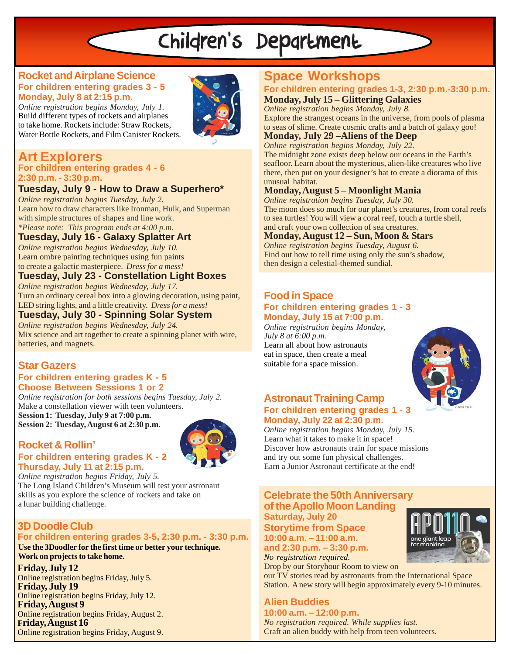# Children's Department

#### **Rocket and Airplane Science For children entering grades 3 - 5 Monday, July 8 at 2:15 p.m.**



*Online registration begins Monday, July 1.* Build different types of rockets and airplanes to take home. Rockets include: Straw Rockets, Water Bottle Rockets, and Film Canister Rockets.

# **Art Explorers**

#### **For children entering grades 4 - 6 2:30 p.m. - 3:30 p.m.**

# **Tuesday, July 9 - How to Draw a Superhero\***

*Online registration begins Tuesday, July 2.* Learn how to draw characters like Ironman, Hulk, and Superman with simple structures of shapes and line work. *\*Please note: This program ends at 4:00 p.m.*

### **Tuesday, July 16 - Galaxy Splatter Art**

*Online registration begins Wednesday, July 10.* Learn ombre painting techniques using fun paints to create a galactic masterpiece. *Dress for a mess!*

#### **Tuesday, July 23 - Constellation Light Boxes** *Online registration begins Wednesday, July 17.*

Turn an ordinary cereal box into a glowing decoration, using paint, LED string lights, and a little creativity. *Dress for a mess!*

## **Tuesday, July 30 - Spinning Solar System**

*Online registration begins Wednesday, July 24.* Mix science and art together to create a spinning planet with wire, batteries, and magnets.

# **Star Gazers**

#### **For children entering grades K - 5 Choose Between Sessions 1 or 2**

*Online registration for both sessions begins Tuesday, July 2.* Make a constellation viewer with teen volunteers. **Session 1: Tuesday, July 9 at 7:00 p.m. Session 2: Tuesday, August 6 at 2:30 p.m**.

#### **Rocket & Rollin' For children entering grades K - 2 Thursday, July 11 at 2:15 p.m.**



*Online registration begins Friday, July 5.* The Long Island Children's Museum will test your astronaut skills as you explore the science of rockets and take on a lunar building challenge.

# **3D Doodle Club**

#### **For children entering grades 3-5, 2:30 p.m. - 3:30 p.m. Use the 3Doodler for the first time or better your technique. Work on projects to take home.**

**Friday, July 12** Online registration begins Friday, July 5. **Friday, July 19** Online registration begins Friday, July 12. **Friday, August 9** Online registration begins Friday, August 2. **Friday, August 16** Online registration begins Friday, August 9.

# **Space Workshops**

#### **For children entering grades 1-3, 2:30 p.m.-3:30 p.m. Monday, July 15 – Glittering Galaxies**

*Online registration begins Monday, July 8.* Explore the strangest oceans in the universe, from pools of plasma to seas of slime. Create cosmic crafts and a batch of galaxy goo!

### **Monday, July 29 –Aliens of the Deep**

*Online registration begins Monday, July 22.* The midnight zone exists deep below our oceans in the Earth's seafloor. Learn about the mysterious, alien-like creatures who live there, then put on your designer's hat to create a diorama of this unusual habitat.

#### **Monday, August 5 – Moonlight Mania**

*Online registration begins Tuesday, July 30.* The moon does so much for our planet's creatures, from coral reefs to sea turtles! You will view a coral reef, touch a turtle shell, and craft your own collection of sea creatures.

#### **Monday, August 12 – Sun, Moon & Stars**

*Online registration begins Tuesday, August 6.* Find out how to tell time using only the sun's shadow, then design a celestial-themed sundial.

### **Food in Space For children entering grades 1 - 3**

**Monday, July 15 at 7:00 p.m.** *Online registration begins Monday, July 8 at 6:00 p.m.*

Learn all about how astronauts eat in space, then create a meal suitable for a space mission.



#### **Astronaut Training Camp For children entering grades 1 - 3 Monday, July 22 at 2:30 p.m.**

*Online registration begins Monday, July 15.* Learn what it takes to make it in space! Discover how astronauts train for space missions and try out some fun physical challenges. Earn a Junior Astronaut certificate at the end!

#### **Celebrate the 50th Anniversary of the Apollo Moon Landing Saturday, July 20**

**Storytime from Space 10:00 a.m. – 11:00 a.m. and 2:30 p.m. – 3:30 p.m.**

*No registration required.* Drop by our Storyhour Room to view on

our TV stories read by astronauts from the International Space Station. A new story will begin approximately every 9-10 minutes.

# **Alien Buddies**

**10:00 a.m. – 12:00 p.m.** *No registration required. While supplies last.* Craft an alien buddy with help from teen volunteers.

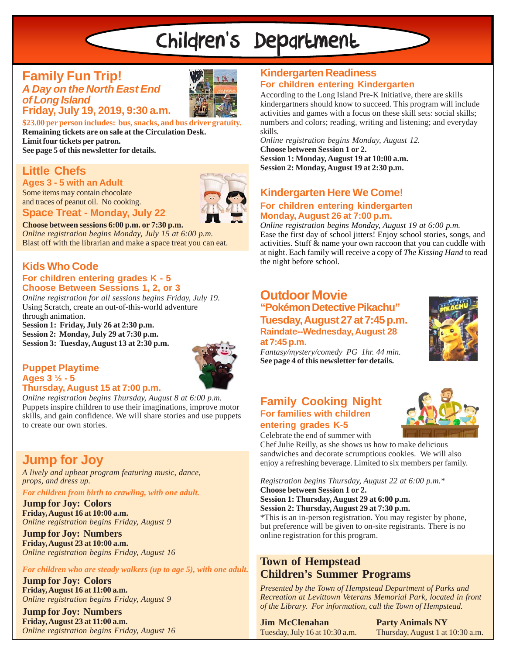# Children's Department

#### **Family Fun Trip!** *A Day on the North East End of Long Island* **Friday, July 19, 2019, 9:30 a.m.**



**\$23.00 per person includes: bus, snacks, and bus driver gratuity. Remaining tickets are on sale at the Circulation Desk. Limit four tickets per patron. See page 5 of this newsletter for details.**

 $\mathcal{L}$ 

# **Little Chefs**

**Ages 3 - 5 with an Adult**

Some items may contain chocolate and traces of peanut oil. No cooking.

#### **Space Treat - Monday, July 22**

**Choose between sessions 6:00 p.m. or 7:30 p.m.**

*Online registration begins Monday, July 15 at 6:00 p.m.* Blast off with the librarian and make a space treat you can eat.

#### **Kids Who Code For children entering grades K - 5 Choose Between Sessions 1, 2, or 3**

*Online registration for all sessions begins Friday, July 19.* Using Scratch, create an out-of-this-world adventure through animation.

**Session 1: Friday, July 26 at 2:30 p.m. Session 2: Monday, July 29 at 7:30 p.m. Session 3: Tuesday, August 13 at 2:30 p.m.**



#### **Puppet Playtime Ages 3 ½ - 5 Thursday, August 15 at 7:00 p.m.**

*Online registration begins Thursday, August 8 at 6:00 p.m.* Puppets inspire children to use their imaginations, improve motor skills, and gain confidence. We will share stories and use puppets to create our own stories.

# **Jump for Joy**

*A lively and upbeat program featuring music, dance, props, and dress up.*

*For children from birth to crawling, with one adult.*

**Jump for Joy: Colors Friday, August 16 at 10:00 a.m.** *Online registration begins Friday, August 9*

**Jump for Joy: Numbers Friday, August 23 at 10:00 a.m.** *Online registration begins Friday, August 16*

*For children who are steady walkers (up to age 5), with one adult.*

**Jump for Joy: Colors Friday, August 16 at 11:00 a.m.** *Online registration begins Friday, August 9*

**Jump for Joy: Numbers Friday, August 23 at 11:00 a.m.** *Online registration begins Friday, August 16*

# **Kindergarten Readiness For children entering Kindergarten**

According to the Long Island Pre-K Initiative, there are skills kindergartners should know to succeed. This program will include activities and games with a focus on these skill sets: social skills; numbers and colors; reading, writing and listening; and everyday skills.

*Online registration begins Monday, August 12.* **Choose between Session 1 or 2. Session 1: Monday, August 19 at 10:00 a.m. Session 2: Monday, August 19 at 2:30 p.m.**

# **Kindergarten Here We Come!**

#### **For children entering kindergarten Monday, August 26 at 7:00 p.m.**

*Online registration begins Monday, August 19 at 6:00 p.m.* Ease the first day of school jitters! Enjoy school stories, songs, and activities. Stuff & name your own raccoon that you can cuddle with at night. Each family will receive a copy of *The Kissing Hand* to read the night before school.

# **Outdoor Movie**

**"Pokémon Detective Pikachu" Tuesday, August 27 at 7:45 p.m. Raindate--Wednesday, August 28 at 7:45 p.m.**



*Fantasy/mystery/comedy PG 1hr. 44 min.* **See page 4 of this newsletter for details.**

### **Family Cooking Night For families with children entering grades K-5**



Celebrate the end of summer with

Chef Julie Reilly, as she shows us how to make delicious sandwiches and decorate scrumptious cookies. We will also enjoy a refreshing beverage. Limited to six members per family.

*Registration begins Thursday, August 22 at 6:00 p.m.\** **Choose between Session 1 or 2.**

**Session 1: Thursday, August 29 at 6:00 p.m. Session 2: Thursday, August 29 at 7:30 p.m.**

\*This is an in-person registration. You may register by phone, but preference will be given to on-site registrants. There is no online registration for this program.

### **Town of Hempstead Children's Summer Programs**

*Presented by the Town of Hempstead Department of Parks and Recreation at Levittown Veterans Memorial Park, located in front of the Library. For information, call the Town of Hempstead.*

**Jim McClenahan** Tuesday, July 16 at 10:30 a.m. **Party Animals NY** Thursday, August 1 at 10:30 a.m.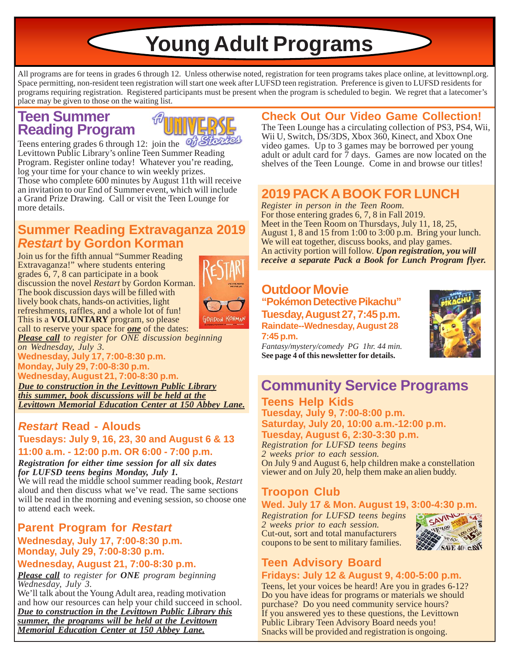**Young Adult Programs**

All programs are for teens in grades 6 through 12. Unless otherwise noted, registration for teen programs takes place online, at levittownpl.org. Space permitting, non-resident teen registration will start one week after LUFSD teen registration. Preference is given to LUFSD residents for programs requiring registration. Registered participants must be present when the program is scheduled to begin. We regret that a latecomer's place may be given to those on the waiting list.

# **Teen Summer Reading Program**



Teens entering grades 6 through 12: join the  $\frac{d}{d}$ Levittown Public Library's online Teen Summer Reading Program. Register online today! Whatever you're reading, log your time for your chance to win weekly prizes. Those who complete 600 minutes by August 11th will receive an invitation to our End of Summer event, which will include a Grand Prize Drawing. Call or visit the Teen Lounge for more details.

# **Summer Reading Extravaganza 2019** *Restart* **by Gordon Korman**

Join us for the fifth annual "Summer Reading Extravaganza!" where students entering grades 6, 7, 8 can participate in a book discussion the novel *Restart* by Gordon Korman. The book discussion days will be filled with lively book chats, hands-on activities, light refreshments, raffles, and a whole lot of fun! This is a **VOLUNTARY** program, so please



call to reserve your space for *one* of the dates: *Please call to register for ONE discussion beginning on Wednesday, July 3.*

**Wednesday, July 17, 7:00-8:30 p.m. Monday, July 29, 7:00-8:30 p.m. Wednesday, August 21, 7:00-8:30 p.m.**

*Due to construction in the Levittown Public Library this summer, book discussions will be held at the Levittown Memorial Education Center at 150 Abbey Lane.*

### *Restart* **Read - Alouds Tuesdays: July 9, 16, 23, 30 and August 6 & 13 11:00 a.m. - 12:00 p.m. OR 6:00 - 7:00 p.m.**

### *Registration for either time session for all six dates for LUFSD teens begins Monday, July 1.*

We will read the middle school summer reading book, *Restart* aloud and then discuss what we've read. The same sections will be read in the morning and evening session, so choose one to attend each week.

### **Parent Program for** *Restart* **Wednesday, July 17, 7:00-8:30 p.m. Monday, July 29, 7:00-8:30 p.m.**

## **Wednesday, August 21, 7:00-8:30 p.m.**

*Please call to register for ONE program beginning Wednesday, July 3.*

We'll talk about the Young Adult area, reading motivation and how our resources can help your child succeed in school. *Due to construction in the Levittown Public Library this summer, the programs will be held at the Levittown Memorial Education Center at 150 Abbey Lane.*

# **Check Out Our Video Game Collection!**

The Teen Lounge has a circulating collection of PS3, PS4, Wii, Wii U, Switch, DS/3DS, Xbox 360, Kinect, and Xbox One video games. Up to 3 games may be borrowed per young adult or adult card for 7 days. Games are now located on the shelves of the Teen Lounge. Come in and browse our titles!

# **2019 PACK A BOOK FOR LUNCH**

*Register in person in the Teen Room.* For those entering grades 6, 7, 8 in Fall 2019. Meet in the Teen Room on Thursdays, July 11, 18, 25, August 1, 8 and 15 from 1:00 to 3:00 p.m. Bring your lunch. We will eat together, discuss books, and play games. An activity portion will follow. *Upon registration, you will receive a separate Pack a Book for Lunch Program flyer.*

# **Outdoor Movie**

**"Pokémon Detective Pikachu" Tuesday, August 27, 7:45 p.m. Raindate--Wednesday, August 28 7:45 p.m.**



*Fantasy/mystery/comedy PG 1hr. 44 min.* **See page 4 of this newsletter for details.**

# **Community Service Programs**

#### **Teens Help Kids Tuesday, July 9, 7:00-8:00 p.m. Saturday, July 20, 10:00 a.m.-12:00 p.m. Tuesday, August 6, 2:30-3:30 p.m.**

*Registration for LUFSD teens begins 2 weeks prior to each session.* On July 9 and August 6, help children make a constellation viewer and on July 20, help them make an alien buddy.

# **Troopon Club**

### **Wed. July 17 & Mon. August 19, 3:00-4:30 p.m.**

*Registration for LUFSD teens begins 2 weeks prior to each session.* Cut-out, sort and total manufacturers coupons to be sent to military families.



# **Teen Advisory Board Fridays: July 12 & August 9, 4:00-5:00 p.m.**

Teens, let your voices be heard! Are you in grades 6-12? Do you have ideas for programs or materials we should purchase? Do you need community service hours? If you answered yes to these questions, the Levittown Public Library Teen Advisory Board needs you! Snacks will be provided and registration is ongoing.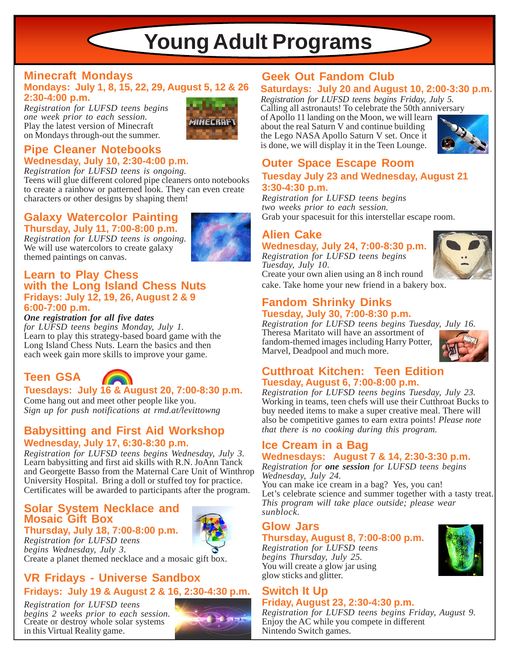# **Young Adult Programs**

#### **Minecraft Mondays Geek Out Fandom Club Mondays: July 1, 8, 15, 22, 29, August 5, 12 & 26 2:30-4:00 p.m.**

*Registration for LUFSD teens begins one week prior to each session.* Play the latest version of Minecraft on Mondays through-out the summer.



### **Pipe Cleaner Notebooks Wednesday, July 10, 2:30-4:00 p.m.**

 $\leq$ 

*Registration for LUFSD teens is ongoing.*

Teens will glue different colored pipe cleaners onto notebooks to create a rainbow or patterned look. They can even create characters or other designs by shaping them!

#### **Galaxy Watercolor Painting Thursday, July 11, 7:00-8:00 p.m.**

*Registration for LUFSD teens is ongoing.* We will use watercolors to create galaxy themed paintings on canvas.

#### **Learn to Play Chess with the Long Island Chess Nuts Fridays: July 12, 19, 26, August 2 & 9 6:00-7:00 p.m.**

*One registration for all five dates*

*for LUFSD teens begins Monday, July 1.* Learn to play this strategy-based board game with the Long Island Chess Nuts. Learn the basics and then each week gain more skills to improve your game.

# **Teen GSA**



### **Tuesdays: July 16 & August 20, 7:00-8:30 p.m.**

Come hang out and meet other people like you. *Sign up for push notifications at rmd.at/levittowng*

#### **Babysitting and First Aid Workshop Wednesday, July 17, 6:30-8:30 p.m.**

*Registration for LUFSD teens begins Wednesday, July 3.* Learn babysitting and first aid skills with R.N. JoAnn Tanck and Georgette Basso from the Maternal Care Unit of Winthrop University Hospital. Bring a doll or stuffed toy for practice. Certificates will be awarded to participants after the program.

# **Solar System Necklace and Mosaic Gift Box**

**Thursday, July 18, 7:00-8:00 p.m.** *Registration for LUFSD teens begins Wednesday, July 3.*

Create a planet themed necklace and a mosaic gift box.

# **VR Fridays - Universe Sandbox Fridays: July 19 & August 2 & 16, 2:30-4:30 p.m.**

*Registration for LUFSD teens begins 2 weeks prior to each session.* Create or destroy whole solar systems in this Virtual Reality game.



### **Saturdays: July 20 and August 10, 2:00-3:30 p.m.**

*Registration for LUFSD teens begins Friday, July 5.* Calling all astronauts! To celebrate the 50th anniversary of Apollo 11 landing on the Moon, we will learn about the real Saturn V and continue building

the Lego NASA Apollo Saturn V set. Once it is done, we will display it in the Teen Lounge.



# **Outer Space Escape Room**

#### **Tuesday July 23 and Wednesday, August 21 3:30-4:30 p.m.**

*Registration for LUFSD teens begins two weeks prior to each session.* Grab your spacesuit for this interstellar escape room.

# **Alien Cake**

**Wednesday, July 24, 7:00-8:30 p.m.** *Registration for LUFSD teens begins Tuesday, July 10*. Create your own alien using an 8 inch round



#### **Fandom Shrinky Dinks Tuesday, July 30, 7:00-8:30 p.m.**

*Registration for LUFSD teens begins Tuesday, July 16.* Theresa Maritato will have an assortment of fandom-themed images including Harry Potter, Marvel, Deadpool and much more.



### **Cutthroat Kitchen: Teen Edition Tuesday, August 6, 7:00-8:00 p.m.**

*Registration for LUFSD teens begins Tuesday, July 23.* Working in teams, teen chefs will use their Cutthroat Bucks to buy needed items to make a super creative meal. There will also be competitive games to earn extra points! *Please note that there is no cooking during this program.*

#### **Ice Cream in a Bag Wednesdays: August 7 & 14, 2:30-3:30 p.m.**

*Registration for one session for LUFSD teens begins Wednesday, July 24.*

You can make ice cream in a bag? Yes, you can! Let's celebrate science and summer together with a tasty treat. *This program will take place outside; please wear sunblock.*

# **Glow Jars**

### **Thursday, August 8, 7:00-8:00 p.m.**

*Registration for LUFSD teens begins Thursday, July 25.* You will create a glow jar using glow sticks and glitter.

# **Switch It Up**

### **Friday, August 23, 2:30-4:30 p.m.**

*Registration for LUFSD teens begins Friday, August 9.* Enjoy the AC while you compete in different Nintendo Switch games.